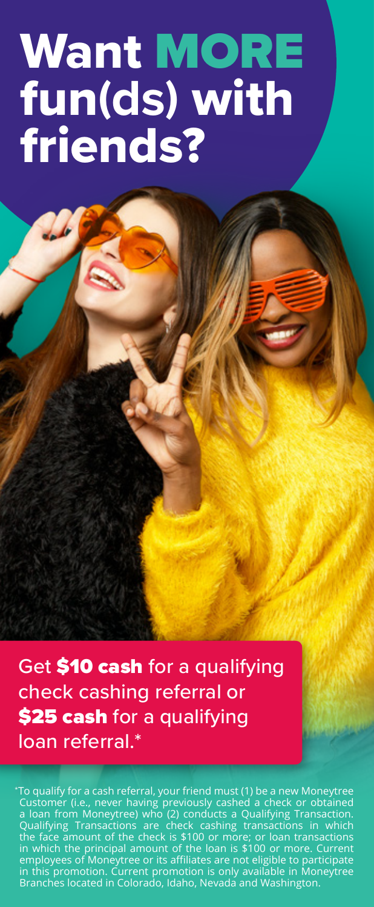# Want MORE fun**(ds)** with friends?

 $\mathcal{L}$ 

Get \$10 cash for a qualifying check cashing referral or \$25 cash for a qualifying loan referral.\*

To qualify for a cash referral, your friend must (1) be a new Moneytree Customer (i.e., never having previously cashed a check or obtained a loan from Moneytree) who (2) conducts a Qualifying Transaction. Qualifying Trans employees of Moneytree or its affiliates are not eligible to participate in this promotion. Current promotion is only available in Moneytree Branches located in Colorado, Idaho, Nevada and Washington.